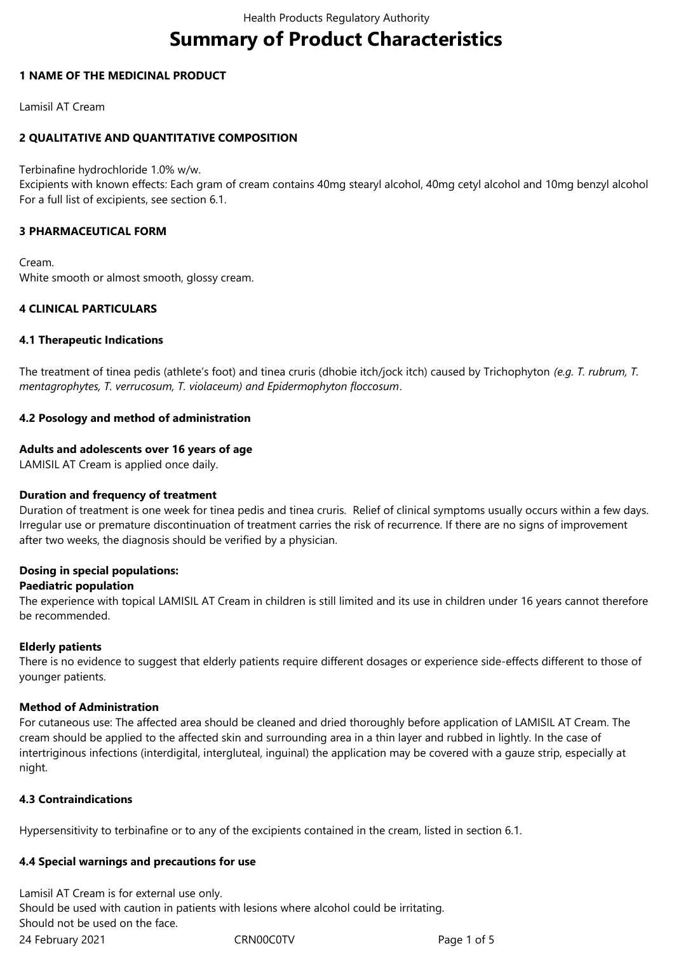# **Summary of Product Characteristics**

# **1 NAME OF THE MEDICINAL PRODUCT**

Lamisil AT Cream

# **2 QUALITATIVE AND QUANTITATIVE COMPOSITION**

Terbinafine hydrochloride 1.0% w/w.

Excipients with known effects: Each gram of cream contains 40mg stearyl alcohol, 40mg cetyl alcohol and 10mg benzyl alcohol For a full list of excipients, see section 6.1.

# **3 PHARMACEUTICAL FORM**

Cream. White smooth or almost smooth, glossy cream.

# **4 CLINICAL PARTICULARS**

# **4.1 Therapeutic Indications**

The treatment of tinea pedis (athlete's foot) and tinea cruris (dhobie itch/jock itch) caused by Trichophyton *(e.g. T. rubrum, T. mentagrophytes, T. verrucosum, T. violaceum) and Epidermophyton floccosum*.

# **4.2 Posology and method of administration**

# **Adults and adolescents over 16 years of age**

LAMISIL AT Cream is applied once daily.

# **Duration and frequency of treatment**

Duration of treatment is one week for tinea pedis and tinea cruris. Relief of clinical symptoms usually occurs within a few days. Irregular use or premature discontinuation of treatment carries the risk of recurrence. If there are no signs of improvement after two weeks, the diagnosis should be verified by a physician.

# **Dosing in special populations:**

## **Paediatric population**

The experience with topical LAMISIL AT Cream in children is still limited and its use in children under 16 years cannot therefore be recommended.

## **Elderly patients**

There is no evidence to suggest that elderly patients require different dosages or experience side-effects different to those of younger patients.

## **Method of Administration**

For cutaneous use: The affected area should be cleaned and dried thoroughly before application of LAMISIL AT Cream. The cream should be applied to the affected skin and surrounding area in a thin layer and rubbed in lightly. In the case of intertriginous infections (interdigital, intergluteal, inguinal) the application may be covered with a gauze strip, especially at night.

# **4.3 Contraindications**

Hypersensitivity to terbinafine or to any of the excipients contained in the cream, listed in section 6.1.

## **4.4 Special warnings and precautions for use**

24 February 2021 CRN00C0TV Page 1 of 5 Lamisil AT Cream is for external use only. Should be used with caution in patients with lesions where alcohol could be irritating. Should not be used on the face.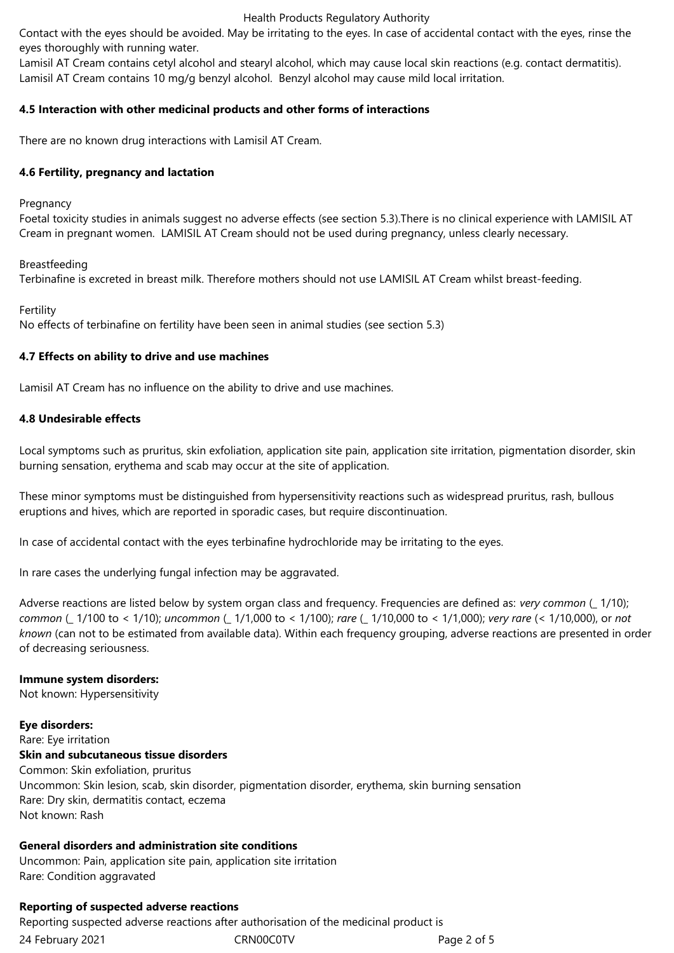#### Health Products Regulatory Authority

Contact with the eyes should be avoided. May be irritating to the eyes. In case of accidental contact with the eyes, rinse the eyes thoroughly with running water.

Lamisil AT Cream contains cetyl alcohol and stearyl alcohol, which may cause local skin reactions (e.g. contact dermatitis). Lamisil AT Cream contains 10 mg/g benzyl alcohol. Benzyl alcohol may cause mild local irritation.

## **4.5 Interaction with other medicinal products and other forms of interactions**

There are no known drug interactions with Lamisil AT Cream.

## **4.6 Fertility, pregnancy and lactation**

## Pregnancy

Foetal toxicity studies in animals suggest no adverse effects (see section 5.3).There is no clinical experience with LAMISIL AT Cream in pregnant women. LAMISIL AT Cream should not be used during pregnancy, unless clearly necessary.

## Breastfeeding

Terbinafine is excreted in breast milk. Therefore mothers should not use LAMISIL AT Cream whilst breast-feeding.

# Fertility

No effects of terbinafine on fertility have been seen in animal studies (see section 5.3)

# **4.7 Effects on ability to drive and use machines**

Lamisil AT Cream has no influence on the ability to drive and use machines.

# **4.8 Undesirable effects**

Local symptoms such as pruritus, skin exfoliation, application site pain, application site irritation, pigmentation disorder, skin burning sensation, erythema and scab may occur at the site of application.

These minor symptoms must be distinguished from hypersensitivity reactions such as widespread pruritus, rash, bullous eruptions and hives, which are reported in sporadic cases, but require discontinuation.

In case of accidental contact with the eyes terbinafine hydrochloride may be irritating to the eyes.

In rare cases the underlying fungal infection may be aggravated.

Adverse reactions are listed below by system organ class and frequency. Frequencies are defined as: *very common* (\_ 1/10); *common* (\_ 1/100 to < 1/10); *uncommon* (\_ 1/1,000 to < 1/100); *rare* (\_ 1/10,000 to < 1/1,000); *very rare* (< 1/10,000), or *not known* (can not to be estimated from available data). Within each frequency grouping, adverse reactions are presented in order of decreasing seriousness.

## **Immune system disorders:**

Not known: Hypersensitivity

## **Eye disorders:**

Rare: Eye irritation **Skin and subcutaneous tissue disorders** Common: Skin exfoliation, pruritus Uncommon: Skin lesion, scab, skin disorder, pigmentation disorder, erythema, skin burning sensation Rare: Dry skin, dermatitis contact, eczema Not known: Rash

# **General disorders and administration site conditions**

Uncommon: Pain, application site pain, application site irritation Rare: Condition aggravated

## **Reporting of suspected adverse reactions**

24 February 2021 CRN00C0TV Page 2 of 5 Reporting suspected adverse reactions after authorisation of the medicinal product is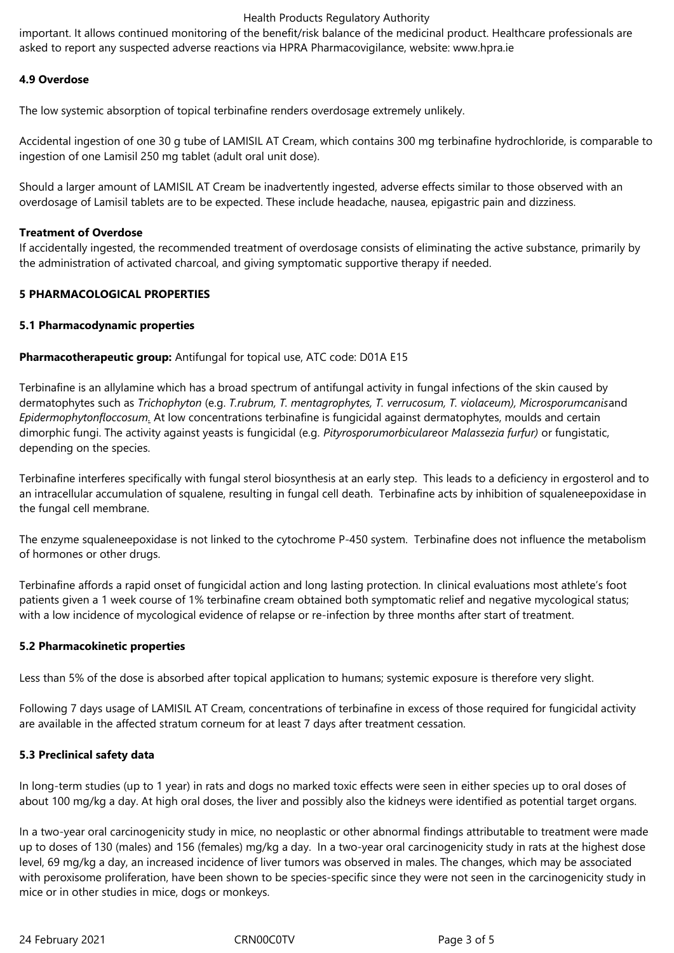## Health Products Regulatory Authority

important. It allows continued monitoring of the benefit/risk balance of the medicinal product. Healthcare professionals are asked to report any suspected adverse reactions via HPRA Pharmacovigilance, website: www.hpra.ie

# **4.9 Overdose**

The low systemic absorption of topical terbinafine renders overdosage extremely unlikely.

Accidental ingestion of one 30 g tube of LAMISIL AT Cream, which contains 300 mg terbinafine hydrochloride, is comparable to ingestion of one Lamisil 250 mg tablet (adult oral unit dose).

Should a larger amount of LAMISIL AT Cream be inadvertently ingested, adverse effects similar to those observed with an overdosage of Lamisil tablets are to be expected. These include headache, nausea, epigastric pain and dizziness.

## **Treatment of Overdose**

If accidentally ingested, the recommended treatment of overdosage consists of eliminating the active substance, primarily by the administration of activated charcoal, and giving symptomatic supportive therapy if needed.

# **5 PHARMACOLOGICAL PROPERTIES**

# **5.1 Pharmacodynamic properties**

**Pharmacotherapeutic group:** Antifungal for topical use, ATC code: D01A E15

Terbinafine is an allylamine which has a broad spectrum of antifungal activity in fungal infections of the skin caused by dermatophytes such as *Trichophyton* (e.g. *T.rubrum, T. mentagrophytes, T. verrucosum, T. violaceum), Microsporumcanis*and *Epidermophytonfloccosum.* At low concentrations terbinafine is fungicidal against dermatophytes, moulds and certain dimorphic fungi. The activity against yeasts is fungicidal (e.g. *Pityrosporumorbiculare*or *Malassezia furfur)* or fungistatic, depending on the species.

Terbinafine interferes specifically with fungal sterol biosynthesis at an early step. This leads to a deficiency in ergosterol and to an intracellular accumulation of squalene, resulting in fungal cell death. Terbinafine acts by inhibition of squaleneepoxidase in the fungal cell membrane.

The enzyme squaleneepoxidase is not linked to the cytochrome P-450 system. Terbinafine does not influence the metabolism of hormones or other drugs.

Terbinafine affords a rapid onset of fungicidal action and long lasting protection. In clinical evaluations most athlete's foot patients given a 1 week course of 1% terbinafine cream obtained both symptomatic relief and negative mycological status; with a low incidence of mycological evidence of relapse or re-infection by three months after start of treatment.

## **5.2 Pharmacokinetic properties**

Less than 5% of the dose is absorbed after topical application to humans; systemic exposure is therefore very slight.

Following 7 days usage of LAMISIL AT Cream, concentrations of terbinafine in excess of those required for fungicidal activity are available in the affected stratum corneum for at least 7 days after treatment cessation.

## **5.3 Preclinical safety data**

In long-term studies (up to 1 year) in rats and dogs no marked toxic effects were seen in either species up to oral doses of about 100 mg/kg a day. At high oral doses, the liver and possibly also the kidneys were identified as potential target organs.

In a two-year oral carcinogenicity study in mice, no neoplastic or other abnormal findings attributable to treatment were made up to doses of 130 (males) and 156 (females) mg/kg a day. In a two-year oral carcinogenicity study in rats at the highest dose level, 69 mg/kg a day, an increased incidence of liver tumors was observed in males. The changes, which may be associated with peroxisome proliferation, have been shown to be species-specific since they were not seen in the carcinogenicity study in mice or in other studies in mice, dogs or monkeys.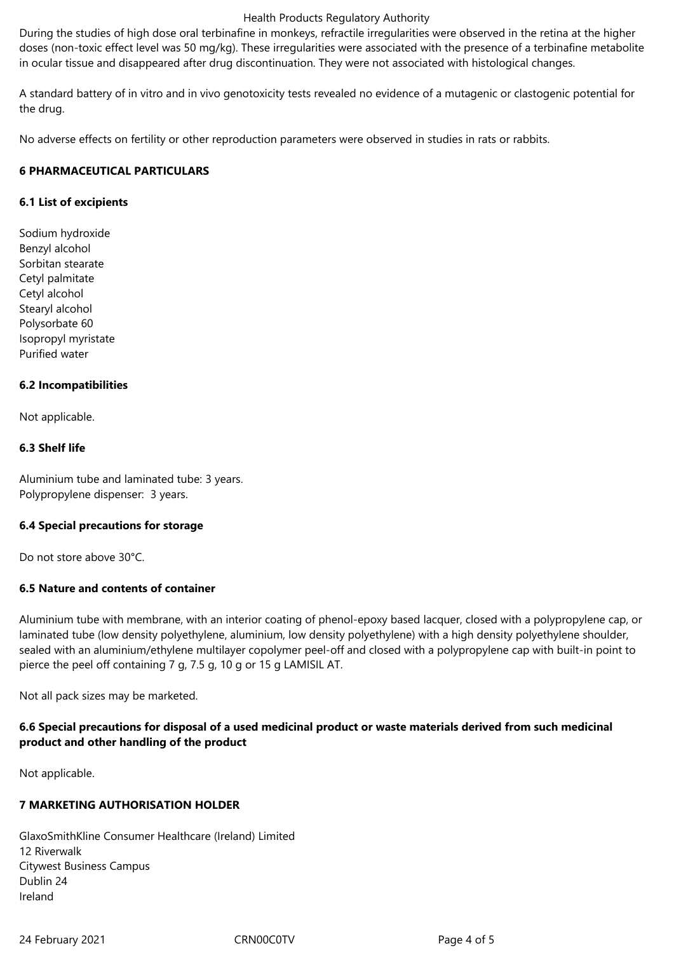#### Health Products Regulatory Authority

During the studies of high dose oral terbinafine in monkeys, refractile irregularities were observed in the retina at the higher doses (non-toxic effect level was 50 mg/kg). These irregularities were associated with the presence of a terbinafine metabolite in ocular tissue and disappeared after drug discontinuation. They were not associated with histological changes.

A standard battery of in vitro and in vivo genotoxicity tests revealed no evidence of a mutagenic or clastogenic potential for the drug.

No adverse effects on fertility or other reproduction parameters were observed in studies in rats or rabbits.

# **6 PHARMACEUTICAL PARTICULARS**

# **6.1 List of excipients**

Sodium hydroxide Benzyl alcohol Sorbitan stearate Cetyl palmitate Cetyl alcohol Stearyl alcohol Polysorbate 60 Isopropyl myristate Purified water

# **6.2 Incompatibilities**

Not applicable.

# **6.3 Shelf life**

Aluminium tube and laminated tube: 3 years. Polypropylene dispenser: 3 years.

## **6.4 Special precautions for storage**

Do not store above 30°C.

# **6.5 Nature and contents of container**

Aluminium tube with membrane, with an interior coating of phenol-epoxy based lacquer, closed with a polypropylene cap, or laminated tube (low density polyethylene, aluminium, low density polyethylene) with a high density polyethylene shoulder, sealed with an aluminium/ethylene multilayer copolymer peel-off and closed with a polypropylene cap with built-in point to pierce the peel off containing 7 g, 7.5 g, 10 g or 15 g LAMISIL AT.

Not all pack sizes may be marketed.

# **6.6 Special precautions for disposal of a used medicinal product or waste materials derived from such medicinal product and other handling of the product**

Not applicable.

# **7 MARKETING AUTHORISATION HOLDER**

GlaxoSmithKline Consumer Healthcare (Ireland) Limited 12 Riverwalk Citywest Business Campus Dublin 24 Ireland